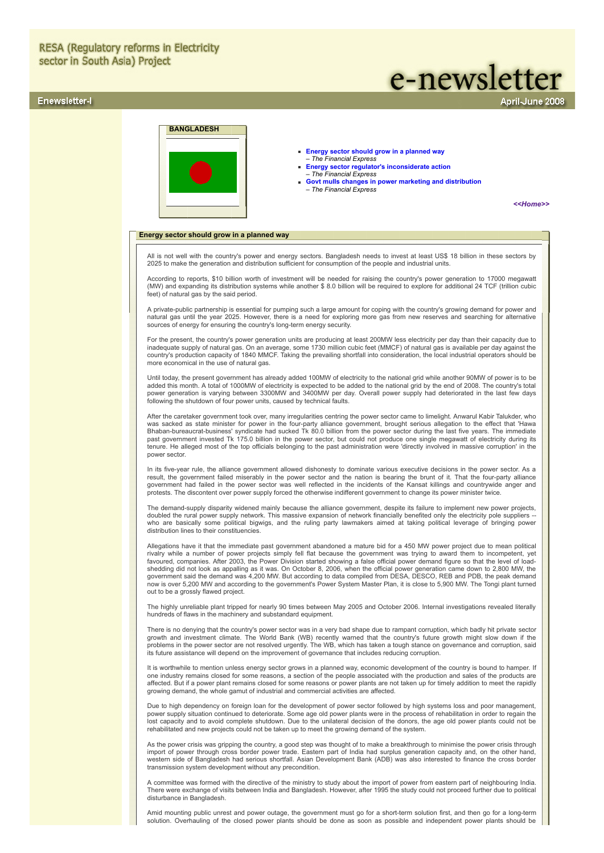# **RESA (Regulatory reforms in Electricity** sector in South Asia) Project

# Enewsletter-I

# e-newsletter

pril-June 2008

<span id="page-0-0"></span>

Amid mounting public unrest and power outage, the government must go for a short-term solution first, and then go for a long-term solution. Overhauling of the closed power plants should be done as soon as possible and independent power plants should be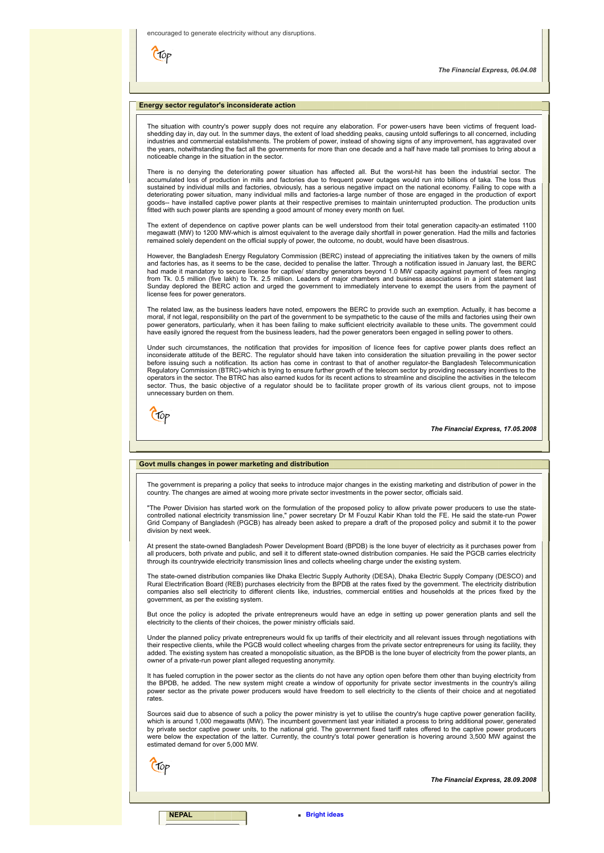$\epsilon$ 

*The Financial Express, 06.04.08*

# <span id="page-1-0"></span>**Energy sector regulator's inconsiderate action**

The situation with country's power supply does not require any elaboration. For power-users have been victims of frequent loadshedding day in, day out. In the summer days, the extent of load shedding peaks, causing untold sufferings to all concerned, including industries and commercial establishments. The problem of power, instead of showing signs of any improvement, has aggravated over the years, notwithstanding the fact all the governments for more than one decade and a half have made tall promises to bring about a noticeable change in the situation in the sector.

There is no denying the deteriorating power situation has affected all. But the worst-hit has been the industrial sector. The<br>accumulated loss of production in mills and factories due to frequent power outages would run in sustained by individual mills and factories, obviously, has a serious negative impact on the national economy. Failing to cope with a deteriorating power situation, many individual mills and factories-a large number of those are engaged in the production of export goods-- have installed captive power plants at their respective premises to maintain uninterrupted production. The production units fitted with such power plants are spending a good amount of money every month on fuel.

The extent of dependence on captive power plants can be well understood from their total generation capacity-an estimated 1100 megawatt (MW) to 1200 MW-which is almost equivalent to the average daily shortfall in power generation. Had the mills and factories remained solely dependent on the official supply of power, the outcome, no doubt, would have been disastrous.

However, the Bangladesh Energy Regulatory Commission (BERC) instead of appreciating the initiatives taken by the owners of mills and factories has, as it seems to be the case, decided to penalise the latter. Through a notification issued in January last, the BERC<br>had made it mandatory to secure license for captive/ standby generators beyond 1.0 MW c Sunday deplored the BERC action and urged the government to immediately intervene to exempt the users from the payment of license fees for power generators.

The related law, as the business leaders have noted, empowers the BERC to provide such an exemption. Actually, it has become a moral, if not legal, responsibility on the part of the government to be sympathetic to the cause of the mills and factories using their own<br>power generators, particularly, when it has been failing to make sufficient electr have easily ignored the request from the business leaders, had the power generators been engaged in selling power to others.

Under such circumstances, the notification that provides for imposition of licence fees for captive power plants does reflect an inconsiderate attitude of the BERC. The regulator should have taken into consideration the situation prevailing in the power sector before issuing such a notification. Its action has come in contrast to that of another regulator-the Bangladesh Telecommunication Regulatory Commission (BTRC)-which is trying to ensure further growth of the telecom sector by providing necessary incentives to the<br>operators in the sector. The BTRC has also earned kudos for its recent actions to streaml sector. Thus, the basic objective of a regulator should be to facilitate proper growth of its various client groups, not to impose unnecessary burden on them.

Ctop

*The Financial Express, 17.05.2008*

# <span id="page-1-1"></span>**Govt mulls changes in power marketing and distribution**

The government is preparing a policy that seeks to introduce major changes in the existing marketing and distribution of power in the country. The changes are aimed at wooing more private sector investments in the power sector, officials said.

"The Power Division has started work on the formulation of the proposed policy to allow private power producers to use the state-<br>controlled national electricity transmission line," power secretary Dr M Fouzul Kabir Khan t Grid Company of Bangladesh (PGCB) has already been asked to prepare a draft of the proposed policy and submit it to the power division by next week.

At present the state-owned Bangladesh Power Development Board (BPDB) is the lone buyer of electricity as it purchases power from all producers, both private and public, and sell it to different state-owned distribution companies. He said the PGCB carries electricity through its countrywide electricity transmission lines and collects wheeling charge under the existing system.

The state-owned distribution companies like Dhaka Electric Supply Authority (DESA), Dhaka Electric Supply Company (DESCO) and<br>Rural Electrification Board (REB) purchases electricity from the BPDB at the rates fixed by the companies also sell electricity to different clients like, industries, commercial entities and households at the prices fixed by the government, as per the existing system.

But once the policy is adopted the private entrepreneurs would have an edge in setting up power generation plants and sell the electricity to the clients of their choices, the power ministry officials said.

Under the planned policy private entrepreneurs would fix up tariffs of their electricity and all relevant issues through negotiations with their respective clients, while the PGCB would collect wheeling charges from the private sector entrepreneurs for using its facility, they added. The existing system has created a monopolistic situation, as the BPDB is the lone buyer of electricity from the power plants, an owner of a private-run power plant alleged requesting anonymity.

It has fueled corruption in the power sector as the clients do not have any option open before them other than buying electricity from the BPDB, he added. The new system might create a window of opportunity for private sector investments in the country's ailing power sector as the private power producers would have freedom to sell electricity to the clients of their choice and at negotiated rates.

Sources said due to absence of such a policy the power ministry is yet to utilise the country's huge captive power generation facility, which is around 1,000 megawatts (MW). The incumbent government last year initiated a process to bring additional power, generated by private sector captive power units, to the national grid. The government fixed tariff rates offered to the captive power producers<br>were below the expectation of the latter. Currently, the country's total power generatio estimated demand for over 5,000 MW.

Ctop

*The Financial Express, 28.09.2008*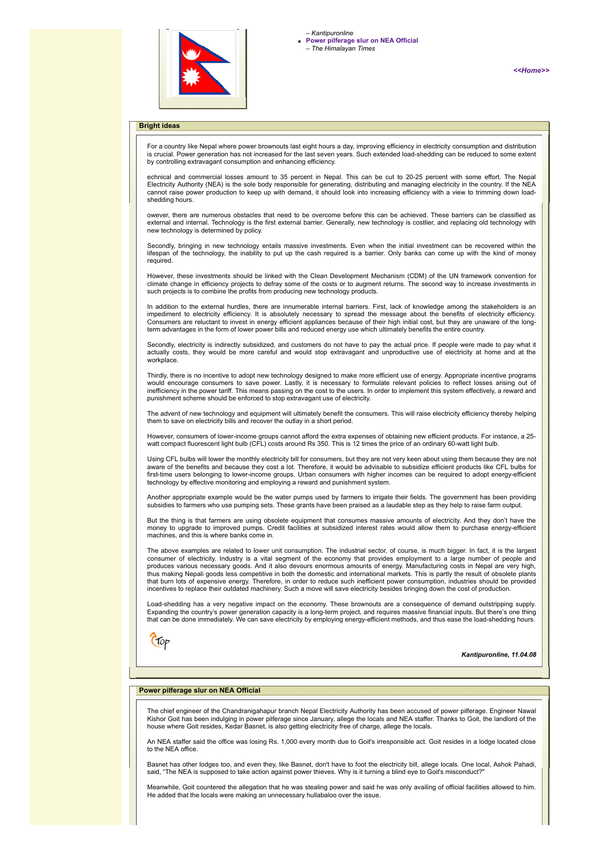

*[<<Home>>](file:///D:/KSH/Websites/RESA/RESA-Enews-I.htm)*

# <span id="page-2-0"></span>**Bright ideas**

For a country like Nepal where power brownouts last eight hours a day, improving efficiency in electricity consumption and distribution<br>is crucial. Power generation has not increased for the last seven years. Such extended by controlling extravagant consumption and enhancing efficiency.

echnical and commercial losses amount to 35 percent in Nepal. This can be cut to 20-25 percent with some effort. The Nepal Electricity Authority (NEA) is the sole body responsible for generating, distributing and managing electricity in the country. If the NEA cannot raise power production to keep up with demand, it should look into increasing efficiency with a view to trimming down loadshedding hours.

owever, there are numerous obstacles that need to be overcome before this can be achieved. These barriers can be classified as<br>external and internal. Technology is the first external barrier. Generally, new technology is c new technology is determined by policy.

Secondly, bringing in new technology entails massive investments. Even when the initial investment can be recovered within the lifespan of the technology, the inability to put up the cash required is a barrier. Only banks can come up with the kind of money required.

However, these investments should be linked with the Clean Development Mechanism (CDM) of the UN framework convention for climate change in efficiency projects to defray some of the costs or to augment returns. The second way to increase investments in such projects is to combine the profits from producing new technology products.

In addition to the external hurdles, there are innumerable internal barriers. First, lack of knowledge among the stakeholders is an impediment to electricity efficiency. It is absolutely necessary to spread the message about the benefits of electricity efficiency.<br>Consumers are reluctant to invest in energy efficient appliances because of their high in term advantages in the form of lower power bills and reduced energy use which ultimately benefits the entire country.

Secondly, electricity is indirectly subsidized, and customers do not have to pay the actual price. If people were made to pay what it actually costs, they would be more careful and would stop extravagant and unproductive use of electricity at home and at the workplace.

Thirdly, there is no incentive to adopt new technology designed to make more efficient use of energy. Appropriate incentive programs would encourage consumers to save power. Lastly, it is necessary to formulate relevant policies to reflect losses arising out of<br>inefficiency in the power tariff. This means passing on the cost to the users. In order to im punishment scheme should be enforced to stop extravagant use of electricity.

The advent of new technology and equipment will ultimately benefit the consumers. This will raise electricity efficiency thereby helping them to save on electricity bills and recover the outlay in a short period.

However, consumers of lower-income groups cannot afford the extra expenses of obtaining new efficient products. For instance, a 25-<br>watt compact fluorescent light bulb (CFL) costs around Rs 350. This is 12 times the price

Using CFL bulbs will lower the monthly electricity bill for consumers, but they are not very keen about using them because they are not<br>aware of the benefits and because they cost a lot. Therefore, it would be advisable to first-time users belonging to lower-income groups. Urban consumers with higher incomes can be required to adopt energy-efficient technology by effective monitoring and employing a reward and punishment system.

Another appropriate example would be the water pumps used by farmers to irrigate their fields. The government has been providing subsidies to farmers who use pumping sets. These grants have been praised as a laudable step as they help to raise farm output.

But the thing is that farmers are using obsolete equipment that consumes massive amounts of electricity. And they don't have the money to upgrade to improved pumps. Credit facilities at subsidized interest rates would allow them to purchase energy-efficient machines, and this is where banks come in.

The above examples are related to lower unit consumption. The industrial sector, of course, is much bigger. In fact, it is the largest consumer of electricity. Industry is a vital segment of the economy that provides employment to a large number of people and<br>produces various necessary goods. And it also devours enormous amounts of energy. Manufacturing c thus making Nepali goods less competitive in both the domestic and international markets. This is partly the result of obsolete plants<br>that burn lots of expensive energy. Therefore, in order to reduce such inefficient powe incentives to replace their outdated machinery. Such a move will save electricity besides bringing down the cost of production.

Load-shedding has a very negative impact on the economy. These brownouts are a consequence of demand outstripping supply.<br>Expanding the country's power generation capacity is a long-term project, and requires massive finan that can be done immediately. We can save electricity by employing energy-efficient methods, and thus ease the load-shedding hours.



*Kantipuronline, 11.04.08*

#### <span id="page-2-1"></span>**Power pilferage slur on NEA Official**

The chief engineer of the Chandranigahapur branch Nepal Electricity Authority has been accused of power pilferage. Engineer Nawal Kishor Goit has been indulging in power pilferage since January, allege the locals and NEA staffer. Thanks to Goit, the landlord of the house where Goit resides, Kedar Basnet, is also getting electricity free of charge, allege the locals.

An NEA staffer said the office was losing Rs. 1,000 every month due to Goit's irresponsible act. Goit resides in a lodge located close to the NEA office.

Basnet has other lodges too, and even they, like Basnet, don't have to foot the electricity bill, allege locals. One local, Ashok Pahadi, said, "The NEA is supposed to take action against power thieves. Why is it turning a blind eye to Goit's misconduct?

Meanwhile, Goit countered the allegation that he was stealing power and said he was only availing of official facilities allowed to him. He added that the locals were making an unnecessary hullabaloo over the issue.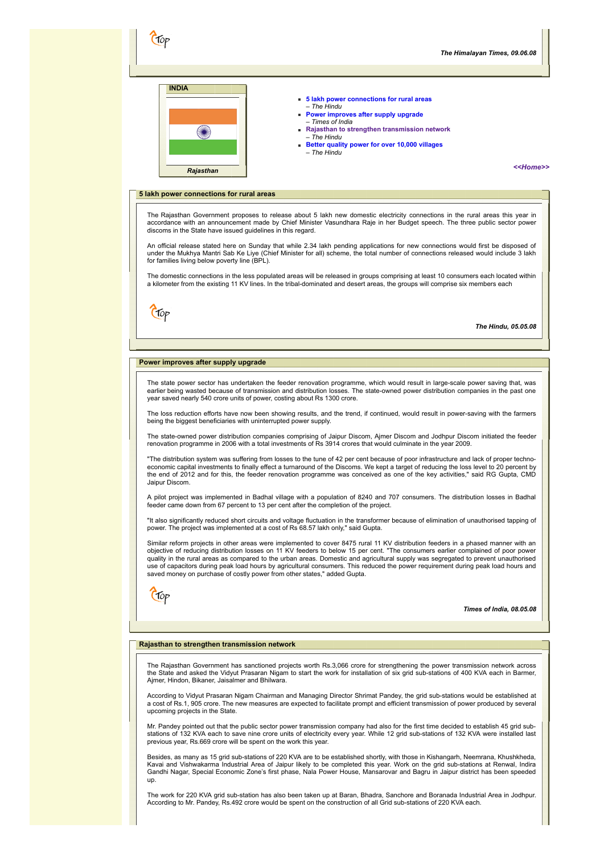

| 5 lakh power connections for rural areas |
|------------------------------------------|
| - The Hindu                              |

- **[Power improves after supply upgrade](#page-3-1)**
- *Times of India* **[Rajasthan to strengthen transmission network](#page-3-2)**  – *The Hindu*
- **[Better quality power for over 10,000 villages](#page-4-0)** – *The Hindu*

*[<<Home>>](file:///D:/KSH/Websites/RESA/RESA-Enews-I.htm)*

#### <span id="page-3-0"></span>**5 lakh power connections for rural areas**

The Rajasthan Government proposes to release about 5 lakh new domestic electricity connections in the rural areas this year in accordance with an announcement made by Chief Minister Vasundhara Raje in her Budget speech. The three public sector power discoms in the State have issued guidelines in this regard.

An official release stated here on Sunday that while 2.34 lakh pending applications for new connections would first be disposed of<br>under the Mukhya Mantri Sab Ke Liye (Chief Minister for all) scheme, the total number of co for families living below poverty line (BPL).

The domestic connections in the less populated areas will be released in groups comprising at least 10 consumers each located within a kilometer from the existing 11 KV lines. In the tribal-dominated and desert areas, the groups will comprise six members each

Crop

*The Hindu, 05.05.08*

#### <span id="page-3-1"></span>**Power improves after supply upgrade**

The state power sector has undertaken the feeder renovation programme, which would result in large-scale power saving that, was earlier being wasted because of transmission and distribution losses. The state-owned power distribution companies in the past one year saved nearly 540 crore units of power, costing about Rs 1300 crore.

The loss reduction efforts have now been showing results, and the trend, if continued, would result in power-saving with the farmers being the biggest beneficiaries with uninterrupted power supply.

The state-owned power distribution companies comprising of Jaipur Discom, Ajmer Discom and Jodhpur Discom initiated the feeder<br>renovation programme in 2006 with a total investments of Rs 3914 crores that would culminate in

"The distribution system was suffering from losses to the tune of 42 per cent because of poor infrastructure and lack of proper techno-<br>economic capital investments to finally effect a turnaround of the Discoms. We kept a the end of 2012 and for this, the feeder renovation programme was conceived as one of the key activities," said RG Gupta, CMD Jaipur Discom.

A pilot project was implemented in Badhal village with a population of 8240 and 707 consumers. The distribution losses in Badhal feeder came down from 67 percent to 13 per cent after the completion of the project.

"It also significantly reduced short circuits and voltage fluctuation in the transformer because of elimination of unauthorised tapping of power. The project was implemented at a cost of Rs 68.57 lakh only," said Gupta.

Similar reform projects in other areas were implemented to cover 8475 rural 11 KV distribution feeders in a phased manner with an objective of reducing distribution losses on 11 KV feeders to below 15 per cent. "The consumers earlier complained of poor power quality in the rural areas as compared to the urban areas. Domestic and agricultural supply was segregated to prevent unauthorised use of capacitors during peak load hours by agricultural consumers. This reduced the power requirement during peak load hours and saved money on purchase of costly power from other states," added Gupta.

Crop

*Times of India, 08.05.08*

#### <span id="page-3-2"></span>**Rajasthan to strengthen transmission network**

The Rajasthan Government has sanctioned projects worth Rs.3,066 crore for strengthening the power transmission network across the State and asked the Vidyut Prasaran Nigam to start the work for installation of six grid sub-stations of 400 KVA each in Barmer, Ajmer, Hindon, Bikaner, Jaisalmer and Bhilwara.

According to Vidyut Prasaran Nigam Chairman and Managing Director Shrimat Pandey, the grid sub-stations would be established at a cost of Rs.1, 905 crore. The new measures are expected to facilitate prompt and efficient transmission of power produced by several upcoming projects in the State.

Mr. Pandey pointed out that the public sector power transmission company had also for the first time decided to establish 45 grid substations of 132 KVA each to save nine crore units of electricity every year. While 12 grid sub-stations of 132 KVA were installed last previous year, Rs.669 crore will be spent on the work this year.

Besides, as many as 15 grid sub-stations of 220 KVA are to be established shortly, with those in Kishangarh, Neemrana, Khushkheda, Kavai and Vishwakarma Industrial Area of Jaipur likely to be completed this year. Work on the grid sub-stations at Renwal, Indira Gandhi Nagar, Special Economic Zone's first phase, Nala Power House, Mansarovar and Bagru in Jaipur district has been speeded up.

The work for 220 KVA grid sub-station has also been taken up at Baran, Bhadra, Sanchore and Boranada Industrial Area in Jodhpur. According to Mr. Pandey, Rs.492 crore would be spent on the construction of all Grid sub-stations of 220 KVA each.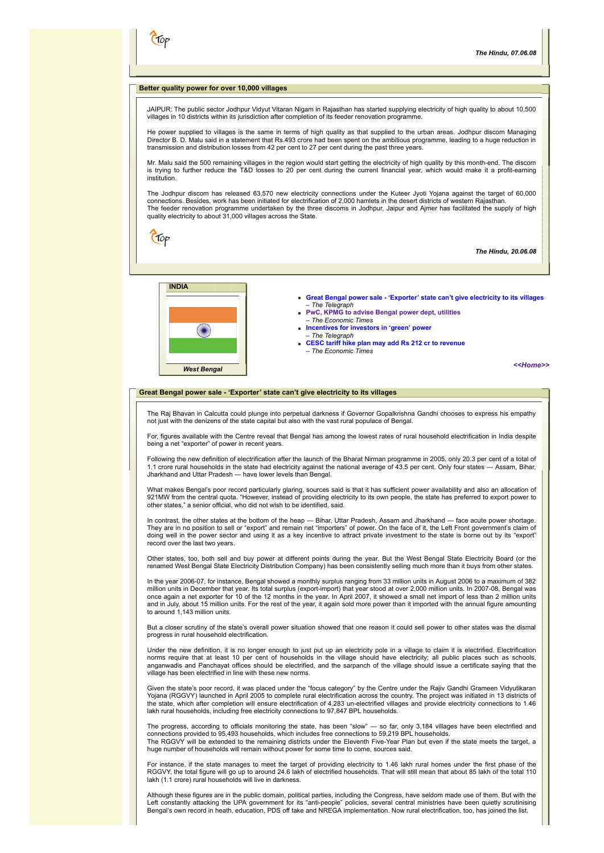## <span id="page-4-0"></span>**Better quality power for over 10,000 villages**

JAIPUR: The public sector Jodhpur Vidyut Vitaran Nigam in Rajasthan has started supplying electricity of high quality to about 10,500 villages in 10 districts within its jurisdiction after completion of its feeder renovation programme.

He power supplied to villages is the same in terms of high quality as that supplied to the urban areas. Jodhpur discom Managing<br>Director B. D. Malu said in a statement that Rs.493 crore had been spent on the ambitious prog transmission and distribution losses from 42 per cent to 27 per cent during the past three years.

Mr. Malu said the 500 remaining villages in the region would start getting the electricity of high quality by this month-end. The discom<br>is trying to further reduce the T&D losses to 20 per cent during the current financia institution.

The Jodhpur discom has released 63,570 new electricity connections under the Kuteer Jyoti Yojana against the target of 60,000 connections. Besides, work has been initiated for electrification of 2,000 hamlets in the desert districts of western Rajasthan. The feeder renovation programme undertaken by the three discoms in Jodhpur, Jaipur and Ajmer has facilitated the supply of high quality electricity to about 31,000 villages across the State.

Ctop

CT0p

*The Hindu, 20.06.08*



- **[Great Bengal power sale 'Exporter' state can't give electricity to its villages](#page-4-1)** – *The Telegraph*
- **[PwC, KPMG to advise Bengal power dept, utilities](#page-5-0)** – *The Economic Times*
- **[Incentives for investors in 'green' power](#page-5-1)** – *The Telegraph*
- **[CESC tariff hike plan may add Rs 212 cr to revenue](#page-5-2)** – *The Economic Times*

*[<<Home>>](file:///D:/KSH/Websites/RESA/RESA-Enews-I.htm)*

# <span id="page-4-1"></span>**Great Bengal power sale - 'Exporter' state can't give electricity to its villages**

The Raj Bhavan in Calcutta could plunge into perpetual darkness if Governor Gopalkrishna Gandhi chooses to express his empathy not just with the denizens of the state capital but also with the vast rural populace of Bengal.

For, figures available with the Centre reveal that Bengal has among the lowest rates of rural household electrification in India despite being a net "exporter" of power in recent years.

Following the new definition of electrification after the launch of the Bharat Nirman programme in 2005, only 20.3 per cent of a total of<br>1.1 crore rural households in the state had electricity against the national average Jharkhand and Uttar Pradesh — have lower levels than Bengal.

What makes Bengal's poor record particularly glaring, sources said is that it has sufficient power availability and also an allocation of 921MW from the central quota. "However, instead of providing electricity to its own people, the state has preferred to export power to other states," a senior official, who did not wish to be identified, said.

In contrast, the other states at the bottom of the heap — Bihar, Uttar Pradesh, Assam and Jharkhand — face acute power shortage. They are in no position to sell or "export" and remain net "importers" of power. On the face of it, the Left Front government's claim of doing well in the power sector and using it as a key incentive to attract private investment to the state is borne out by its "export" record over the last two years.

Other states, too, both sell and buy power at different points during the year. But the West Bengal State Electricity Board (or the renamed West Bengal State Electricity Distribution Company) has been consistently selling much more than it buys from other states.

In the year 2006-07, for instance, Bengal showed a monthly surplus ranging from 33 million units in August 2006 to a maximum of 382 million units in December that year. Its total surplus (export-import) that year stood at over 2,000 million units. In 2007-08, Bengal was once again a net exporter for 10 of the 12 months in the year. In April 2007, it showed a small net import of less than 2 million units and in July, about 15 million units. For the rest of the year, it again sold more power than it imported with the annual figure amounting to around 1,143 million units.

But a closer scrutiny of the state's overall power situation showed that one reason it could sell power to other states was the dismal progress in rural household electrification.

Under the new definition, it is no longer enough to just put up an electricity pole in a village to claim it is electrified. Electrification<br>norms require that at least 10 per cent of households in the village should have anganwadis and Panchayat offices should be electrified, and the sarpanch of the village should issue a certificate saying that the village has been electrified in line with these new norms.

Given the state's poor record, it was placed under the "focus category" by the Centre under the Rajiv Gandhi Grameen Vidyutikaran Yojana (RGGVY) launched in April 2005 to complete rural electrification across the country. The project was initiated in 13 districts of<br>the state, which after completion will ensure electrification of 4,283 un-electrified lakh rural households, including free electricity connections to 97,847 BPL households.

The progress, according to officials monitoring the state, has been "slow" — so far, only 3,184 villages have been electrified and connections provided to 95,493 households, which includes free connections to 59,219 BPL households. The RGGVY will be extended to the remaining districts under the Eleventh Five-Year Plan but even if the state meets the target, a huge number of households will remain without power for some time to come, sources said.

For instance, if the state manages to meet the target of providing electricity to 1.46 lakh rural homes under the first phase of the RGGVY, the total figure will go up to around 24.6 lakh of electrified households. That will still mean that about 85 lakh of the total 110 lakh (1.1 crore) rural households will live in darkness.

Although these figures are in the public domain, political parties, including the Congress, have seldom made use of them. But with the Left constantly attacking the UPA government for its "anti-people" policies, several central ministries have been quietly scrutinising<br>Bengal's own record in heath, education, PDS off take and NREGA implementation. Now rur